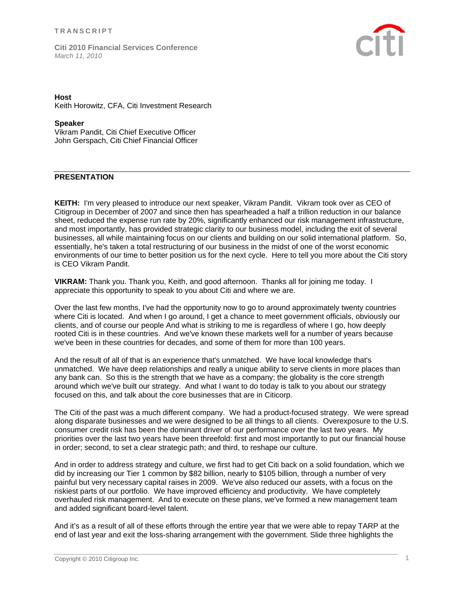

### **Host**

Keith Horowitz, CFA, Citi Investment Research

#### **Speaker**

Vikram Pandit, Citi Chief Executive Officer John Gerspach, Citi Chief Financial Officer

## **PRESENTATION**

**KEITH:** I'm very pleased to introduce our next speaker, Vikram Pandit. Vikram took over as CEO of Citigroup in December of 2007 and since then has spearheaded a half a trillion reduction in our balance sheet, reduced the expense run rate by 20%, significantly enhanced our risk management infrastructure, and most importantly, has provided strategic clarity to our business model, including the exit of several businesses, all while maintaining focus on our clients and building on our solid international platform. So, essentially, he's taken a total restructuring of our business in the midst of one of the worst economic environments of our time to better position us for the next cycle. Here to tell you more about the Citi story is CEO Vikram Pandit.

**VIKRAM:** Thank you. Thank you, Keith, and good afternoon. Thanks all for joining me today. I appreciate this opportunity to speak to you about Citi and where we are.

Over the last few months, I've had the opportunity now to go to around approximately twenty countries where Citi is located. And when I go around, I get a chance to meet government officials, obviously our clients, and of course our people And what is striking to me is regardless of where I go, how deeply rooted Citi is in these countries. And we've known these markets well for a number of years because we've been in these countries for decades, and some of them for more than 100 years.

And the result of all of that is an experience that's unmatched. We have local knowledge that's unmatched. We have deep relationships and really a unique ability to serve clients in more places than any bank can. So this is the strength that we have as a company; the globality is the core strength around which we've built our strategy. And what I want to do today is talk to you about our strategy focused on this, and talk about the core businesses that are in Citicorp.

The Citi of the past was a much different company. We had a product-focused strategy. We were spread along disparate businesses and we were designed to be all things to all clients. Overexposure to the U.S. consumer credit risk has been the dominant driver of our performance over the last two years. My priorities over the last two years have been threefold: first and most importantly to put our financial house in order; second, to set a clear strategic path; and third, to reshape our culture.

And in order to address strategy and culture, we first had to get Citi back on a solid foundation, which we did by increasing our Tier 1 common by \$82 billion, nearly to \$105 billion, through a number of very painful but very necessary capital raises in 2009. We've also reduced our assets, with a focus on the riskiest parts of our portfolio. We have improved efficiency and productivity. We have completely overhauled risk management. And to execute on these plans, we've formed a new management team and added significant board-level talent.

And it's as a result of all of these efforts through the entire year that we were able to repay TARP at the end of last year and exit the loss-sharing arrangement with the government. Slide three highlights the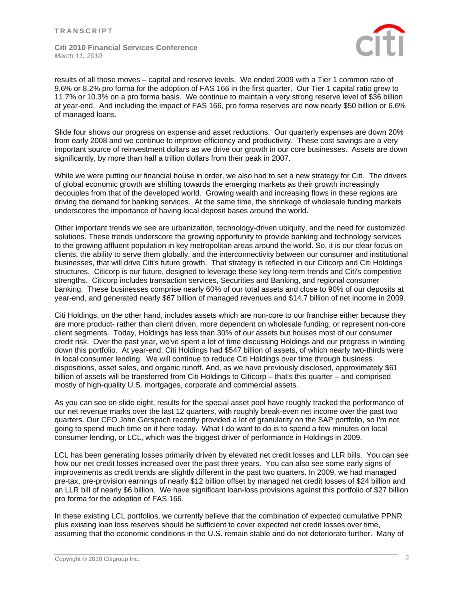

results of all those moves – capital and reserve levels. We ended 2009 with a Tier 1 common ratio of 9.6% or 8.2% pro forma for the adoption of FAS 166 in the first quarter. Our Tier 1 capital ratio grew to 11.7% or 10.3% on a pro forma basis. We continue to maintain a very strong reserve level of \$36 billion at year-end. And including the impact of FAS 166, pro forma reserves are now nearly \$50 billion or 6.6% of managed loans.

Slide four shows our progress on expense and asset reductions. Our quarterly expenses are down 20% from early 2008 and we continue to improve efficiency and productivity. These cost savings are a very important source of reinvestment dollars as we drive our growth in our core businesses. Assets are down significantly, by more than half a trillion dollars from their peak in 2007.

While we were putting our financial house in order, we also had to set a new strategy for Citi. The drivers of global economic growth are shifting towards the emerging markets as their growth increasingly decouples from that of the developed world. Growing wealth and increasing flows in these regions are driving the demand for banking services. At the same time, the shrinkage of wholesale funding markets underscores the importance of having local deposit bases around the world.

Other important trends we see are urbanization, technology-driven ubiquity, and the need for customized solutions. These trends underscore the growing opportunity to provide banking and technology services to the growing affluent population in key metropolitan areas around the world. So, it is our clear focus on clients, the ability to serve them globally, and the interconnectivity between our consumer and institutional businesses, that will drive Citi's future growth. That strategy is reflected in our Citicorp and Citi Holdings structures. Citicorp is our future, designed to leverage these key long-term trends and Citi's competitive strengths. Citicorp includes transaction services, Securities and Banking, and regional consumer banking. These businesses comprise nearly 60% of our total assets and close to 90% of our deposits at year-end, and generated nearly \$67 billion of managed revenues and \$14.7 billion of net income in 2009.

Citi Holdings, on the other hand, includes assets which are non-core to our franchise either because they are more product- rather than client driven, more dependent on wholesale funding, or represent non-core client segments. Today, Holdings has less than 30% of our assets but houses most of our consumer credit risk. Over the past year, we've spent a lot of time discussing Holdings and our progress in winding down this portfolio. At year-end, Citi Holdings had \$547 billion of assets, of which nearly two-thirds were in local consumer lending. We will continue to reduce Citi Holdings over time through business dispositions, asset sales, and organic runoff. And, as we have previously disclosed, approximately \$61 billion of assets will be transferred from Citi Holdings to Citicorp – that's this quarter – and comprised mostly of high-quality U.S. mortgages, corporate and commercial assets.

As you can see on slide eight, results for the special asset pool have roughly tracked the performance of our net revenue marks over the last 12 quarters, with roughly break-even net income over the past two quarters. Our CFO John Gerspach recently provided a lot of granularity on the SAP portfolio, so I'm not going to spend much time on it here today. What I do want to do is to spend a few minutes on local consumer lending, or LCL, which was the biggest driver of performance in Holdings in 2009.

LCL has been generating losses primarily driven by elevated net credit losses and LLR bills. You can see how our net credit losses increased over the past three years. You can also see some early signs of improvements as credit trends are slightly different in the past two quarters. In 2009, we had managed pre-tax, pre-provision earnings of nearly \$12 billion offset by managed net credit losses of \$24 billion and an LLR bill of nearly \$6 billion. We have significant loan-loss provisions against this portfolio of \$27 billion pro forma for the adoption of FAS 166.

In these existing LCL portfolios, we currently believe that the combination of expected cumulative PPNR plus existing loan loss reserves should be sufficient to cover expected net credit losses over time, assuming that the economic conditions in the U.S. remain stable and do not deteriorate further. Many of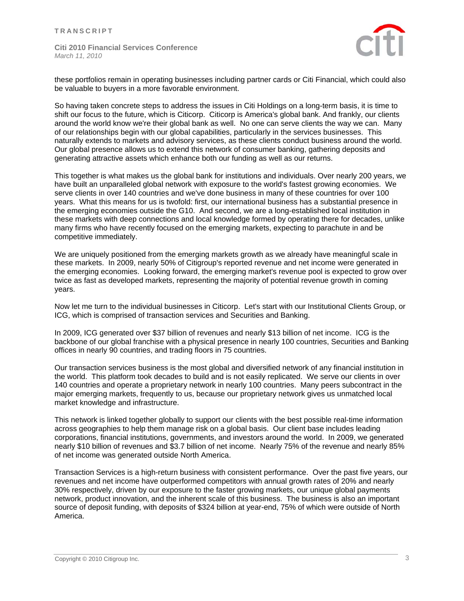

these portfolios remain in operating businesses including partner cards or Citi Financial, which could also be valuable to buyers in a more favorable environment.

So having taken concrete steps to address the issues in Citi Holdings on a long-term basis, it is time to shift our focus to the future, which is Citicorp. Citicorp is America's global bank. And frankly, our clients around the world know we're their global bank as well. No one can serve clients the way we can. Many of our relationships begin with our global capabilities, particularly in the services businesses. This naturally extends to markets and advisory services, as these clients conduct business around the world. Our global presence allows us to extend this network of consumer banking, gathering deposits and generating attractive assets which enhance both our funding as well as our returns.

This together is what makes us the global bank for institutions and individuals. Over nearly 200 years, we have built an unparalleled global network with exposure to the world's fastest growing economies. We serve clients in over 140 countries and we've done business in many of these countries for over 100 years. What this means for us is twofold: first, our international business has a substantial presence in the emerging economies outside the G10. And second, we are a long-established local institution in these markets with deep connections and local knowledge formed by operating there for decades, unlike many firms who have recently focused on the emerging markets, expecting to parachute in and be competitive immediately.

We are uniquely positioned from the emerging markets growth as we already have meaningful scale in these markets. In 2009, nearly 50% of Citigroup's reported revenue and net income were generated in the emerging economies. Looking forward, the emerging market's revenue pool is expected to grow over twice as fast as developed markets, representing the majority of potential revenue growth in coming years.

Now let me turn to the individual businesses in Citicorp. Let's start with our Institutional Clients Group, or ICG, which is comprised of transaction services and Securities and Banking.

In 2009, ICG generated over \$37 billion of revenues and nearly \$13 billion of net income. ICG is the backbone of our global franchise with a physical presence in nearly 100 countries, Securities and Banking offices in nearly 90 countries, and trading floors in 75 countries.

Our transaction services business is the most global and diversified network of any financial institution in the world. This platform took decades to build and is not easily replicated. We serve our clients in over 140 countries and operate a proprietary network in nearly 100 countries. Many peers subcontract in the major emerging markets, frequently to us, because our proprietary network gives us unmatched local market knowledge and infrastructure.

This network is linked together globally to support our clients with the best possible real-time information across geographies to help them manage risk on a global basis. Our client base includes leading corporations, financial institutions, governments, and investors around the world. In 2009, we generated nearly \$10 billion of revenues and \$3.7 billion of net income. Nearly 75% of the revenue and nearly 85% of net income was generated outside North America.

Transaction Services is a high-return business with consistent performance. Over the past five years, our revenues and net income have outperformed competitors with annual growth rates of 20% and nearly 30% respectively, driven by our exposure to the faster growing markets, our unique global payments network, product innovation, and the inherent scale of this business. The business is also an important source of deposit funding, with deposits of \$324 billion at year-end, 75% of which were outside of North America.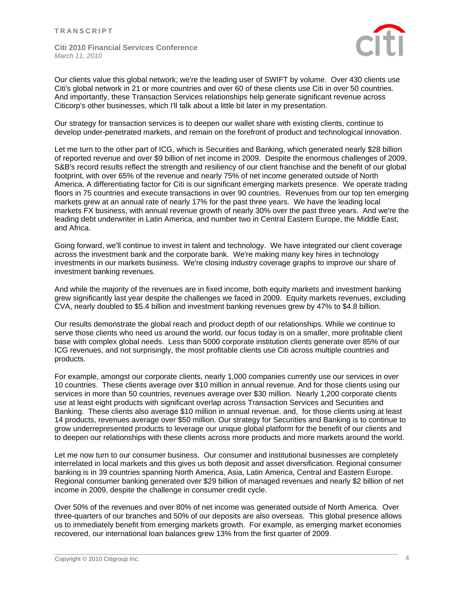

Our clients value this global network; we're the leading user of SWIFT by volume. Over 430 clients use Citi's global network in 21 or more countries and over 60 of these clients use Citi in over 50 countries. And importantly, these Transaction Services relationships help generate significant revenue across Citicorp's other businesses, which I'll talk about a little bit later in my presentation.

Our strategy for transaction services is to deepen our wallet share with existing clients, continue to develop under-penetrated markets, and remain on the forefront of product and technological innovation.

Let me turn to the other part of ICG, which is Securities and Banking, which generated nearly \$28 billion of reported revenue and over \$9 billion of net income in 2009. Despite the enormous challenges of 2009, S&B's record results reflect the strength and resiliency of our client franchise and the benefit of our global footprint, with over 65% of the revenue and nearly 75% of net income generated outside of North America. A differentiating factor for Citi is our significant emerging markets presence. We operate trading floors in 75 countries and execute transactions in over 90 countries. Revenues from our top ten emerging markets grew at an annual rate of nearly 17% for the past three years. We have the leading local markets FX business, with annual revenue growth of nearly 30% over the past three years. And we're the leading debt underwriter in Latin America, and number two in Central Eastern Europe, the Middle East, and Africa.

Going forward, we'll continue to invest in talent and technology. We have integrated our client coverage across the investment bank and the corporate bank. We're making many key hires in technology investments in our markets business. We're closing industry coverage graphs to improve our share of investment banking revenues.

And while the majority of the revenues are in fixed income, both equity markets and investment banking grew significantly last year despite the challenges we faced in 2009. Equity markets revenues, excluding CVA, nearly doubled to \$5.4 billion and investment banking revenues grew by 47% to \$4.8 billion.

Our results demonstrate the global reach and product depth of our relationships. While we continue to serve those clients who need us around the world, our focus today is on a smaller, more profitable client base with complex global needs. Less than 5000 corporate institution clients generate over 85% of our ICG revenues, and not surprisingly, the most profitable clients use Citi across multiple countries and products.

For example, amongst our corporate clients, nearly 1,000 companies currently use our services in over 10 countries. These clients average over \$10 million in annual revenue. And for those clients using our services in more than 50 countries, revenues average over \$30 million. Nearly 1,200 corporate clients use at least eight products with significant overlap across Transaction Services and Securities and Banking. These clients also average \$10 million in annual revenue. and, for those clients using at least 14 products, revenues average over \$50 million. Our strategy for Securities and Banking is to continue to grow underrepresented products to leverage our unique global platform for the benefit of our clients and to deepen our relationships with these clients across more products and more markets around the world.

Let me now turn to our consumer business. Our consumer and institutional businesses are completely interrelated in local markets and this gives us both deposit and asset diversification. Regional consumer banking is in 39 countries spanning North America, Asia, Latin America, Central and Eastern Europe. Regional consumer banking generated over \$29 billion of managed revenues and nearly \$2 billion of net income in 2009, despite the challenge in consumer credit cycle.

Over 50% of the revenues and over 80% of net income was generated outside of North America. Over three-quarters of our branches and 50% of our deposits are also overseas. This global presence allows us to immediately benefit from emerging markets growth. For example, as emerging market economies recovered, our international loan balances grew 13% from the first quarter of 2009.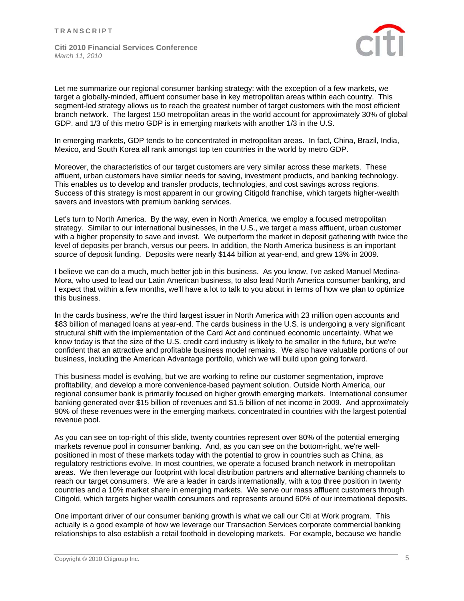

Let me summarize our regional consumer banking strategy: with the exception of a few markets, we target a globally-minded, affluent consumer base in key metropolitan areas within each country. This segment-led strategy allows us to reach the greatest number of target customers with the most efficient branch network. The largest 150 metropolitan areas in the world account for approximately 30% of global GDP. and 1/3 of this metro GDP is in emerging markets with another 1/3 in the U.S.

In emerging markets, GDP tends to be concentrated in metropolitan areas. In fact, China, Brazil, India, Mexico, and South Korea all rank amongst top ten countries in the world by metro GDP.

Moreover, the characteristics of our target customers are very similar across these markets. These affluent, urban customers have similar needs for saving, investment products, and banking technology. This enables us to develop and transfer products, technologies, and cost savings across regions. Success of this strategy is most apparent in our growing Citigold franchise, which targets higher-wealth savers and investors with premium banking services.

Let's turn to North America. By the way, even in North America, we employ a focused metropolitan strategy. Similar to our international businesses, in the U.S., we target a mass affluent, urban customer with a higher propensity to save and invest. We outperform the market in deposit gathering with twice the level of deposits per branch, versus our peers. In addition, the North America business is an important source of deposit funding. Deposits were nearly \$144 billion at year-end, and grew 13% in 2009.

I believe we can do a much, much better job in this business. As you know, I've asked Manuel Medina-Mora, who used to lead our Latin American business, to also lead North America consumer banking, and I expect that within a few months, we'll have a lot to talk to you about in terms of how we plan to optimize this business.

In the cards business, we're the third largest issuer in North America with 23 million open accounts and \$83 billion of managed loans at year-end. The cards business in the U.S. is undergoing a very significant structural shift with the implementation of the Card Act and continued economic uncertainty. What we know today is that the size of the U.S. credit card industry is likely to be smaller in the future, but we're confident that an attractive and profitable business model remains. We also have valuable portions of our business, including the American Advantage portfolio, which we will build upon going forward.

This business model is evolving, but we are working to refine our customer segmentation, improve profitability, and develop a more convenience-based payment solution. Outside North America, our regional consumer bank is primarily focused on higher growth emerging markets. International consumer banking generated over \$15 billion of revenues and \$1.5 billion of net income in 2009. And approximately 90% of these revenues were in the emerging markets, concentrated in countries with the largest potential revenue pool.

As you can see on top-right of this slide, twenty countries represent over 80% of the potential emerging markets revenue pool in consumer banking. And, as you can see on the bottom-right, we're wellpositioned in most of these markets today with the potential to grow in countries such as China, as regulatory restrictions evolve. In most countries, we operate a focused branch network in metropolitan areas. We then leverage our footprint with local distribution partners and alternative banking channels to reach our target consumers. We are a leader in cards internationally, with a top three position in twenty countries and a 10% market share in emerging markets. We serve our mass affluent customers through Citigold, which targets higher wealth consumers and represents around 60% of our international deposits.

One important driver of our consumer banking growth is what we call our Citi at Work program. This actually is a good example of how we leverage our Transaction Services corporate commercial banking relationships to also establish a retail foothold in developing markets. For example, because we handle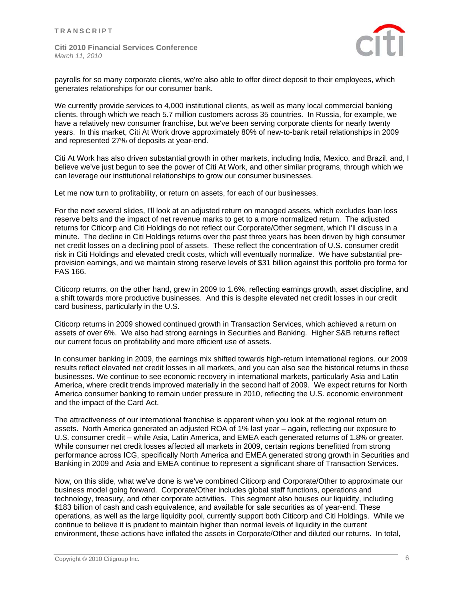

payrolls for so many corporate clients, we're also able to offer direct deposit to their employees, which generates relationships for our consumer bank.

We currently provide services to 4,000 institutional clients, as well as many local commercial banking clients, through which we reach 5.7 million customers across 35 countries. In Russia, for example, we have a relatively new consumer franchise, but we've been serving corporate clients for nearly twenty years. In this market, Citi At Work drove approximately 80% of new-to-bank retail relationships in 2009 and represented 27% of deposits at year-end.

Citi At Work has also driven substantial growth in other markets, including India, Mexico, and Brazil. and, I believe we've just begun to see the power of Citi At Work, and other similar programs, through which we can leverage our institutional relationships to grow our consumer businesses.

Let me now turn to profitability, or return on assets, for each of our businesses.

For the next several slides, I'll look at an adjusted return on managed assets, which excludes loan loss reserve belts and the impact of net revenue marks to get to a more normalized return. The adjusted returns for Citicorp and Citi Holdings do not reflect our Corporate/Other segment, which I'll discuss in a minute. The decline in Citi Holdings returns over the past three years has been driven by high consumer net credit losses on a declining pool of assets. These reflect the concentration of U.S. consumer credit risk in Citi Holdings and elevated credit costs, which will eventually normalize. We have substantial preprovision earnings, and we maintain strong reserve levels of \$31 billion against this portfolio pro forma for FAS 166.

Citicorp returns, on the other hand, grew in 2009 to 1.6%, reflecting earnings growth, asset discipline, and a shift towards more productive businesses. And this is despite elevated net credit losses in our credit card business, particularly in the U.S.

Citicorp returns in 2009 showed continued growth in Transaction Services, which achieved a return on assets of over 6%. We also had strong earnings in Securities and Banking. Higher S&B returns reflect our current focus on profitability and more efficient use of assets.

In consumer banking in 2009, the earnings mix shifted towards high-return international regions. our 2009 results reflect elevated net credit losses in all markets, and you can also see the historical returns in these businesses. We continue to see economic recovery in international markets, particularly Asia and Latin America, where credit trends improved materially in the second half of 2009. We expect returns for North America consumer banking to remain under pressure in 2010, reflecting the U.S. economic environment and the impact of the Card Act.

The attractiveness of our international franchise is apparent when you look at the regional return on assets. North America generated an adjusted ROA of 1% last year – again, reflecting our exposure to U.S. consumer credit – while Asia, Latin America, and EMEA each generated returns of 1.8% or greater. While consumer net credit losses affected all markets in 2009, certain regions benefitted from strong performance across ICG, specifically North America and EMEA generated strong growth in Securities and Banking in 2009 and Asia and EMEA continue to represent a significant share of Transaction Services.

Now, on this slide, what we've done is we've combined Citicorp and Corporate/Other to approximate our business model going forward. Corporate/Other includes global staff functions, operations and technology, treasury, and other corporate activities. This segment also houses our liquidity, including \$183 billion of cash and cash equivalence, and available for sale securities as of year-end. These operations, as well as the large liquidity pool, currently support both Citicorp and Citi Holdings. While we continue to believe it is prudent to maintain higher than normal levels of liquidity in the current environment, these actions have inflated the assets in Corporate/Other and diluted our returns. In total,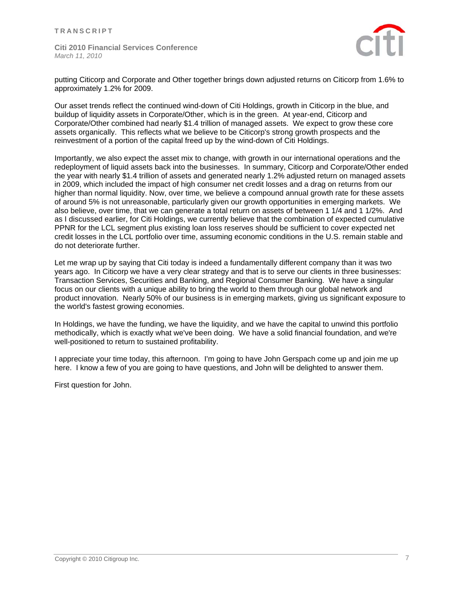

putting Citicorp and Corporate and Other together brings down adjusted returns on Citicorp from 1.6% to approximately 1.2% for 2009.

Our asset trends reflect the continued wind-down of Citi Holdings, growth in Citicorp in the blue, and buildup of liquidity assets in Corporate/Other, which is in the green. At year-end, Citicorp and Corporate/Other combined had nearly \$1.4 trillion of managed assets. We expect to grow these core assets organically. This reflects what we believe to be Citicorp's strong growth prospects and the reinvestment of a portion of the capital freed up by the wind-down of Citi Holdings.

Importantly, we also expect the asset mix to change, with growth in our international operations and the redeployment of liquid assets back into the businesses. In summary, Citicorp and Corporate/Other ended the year with nearly \$1.4 trillion of assets and generated nearly 1.2% adjusted return on managed assets in 2009, which included the impact of high consumer net credit losses and a drag on returns from our higher than normal liquidity. Now, over time, we believe a compound annual growth rate for these assets of around 5% is not unreasonable, particularly given our growth opportunities in emerging markets. We also believe, over time, that we can generate a total return on assets of between 1 1/4 and 1 1/2%. And as I discussed earlier, for Citi Holdings, we currently believe that the combination of expected cumulative PPNR for the LCL segment plus existing loan loss reserves should be sufficient to cover expected net credit losses in the LCL portfolio over time, assuming economic conditions in the U.S. remain stable and do not deteriorate further.

Let me wrap up by saying that Citi today is indeed a fundamentally different company than it was two years ago. In Citicorp we have a very clear strategy and that is to serve our clients in three businesses: Transaction Services, Securities and Banking, and Regional Consumer Banking. We have a singular focus on our clients with a unique ability to bring the world to them through our global network and product innovation. Nearly 50% of our business is in emerging markets, giving us significant exposure to the world's fastest growing economies.

In Holdings, we have the funding, we have the liquidity, and we have the capital to unwind this portfolio methodically, which is exactly what we've been doing. We have a solid financial foundation, and we're well-positioned to return to sustained profitability.

I appreciate your time today, this afternoon. I'm going to have John Gerspach come up and join me up here. I know a few of you are going to have questions, and John will be delighted to answer them.

First question for John.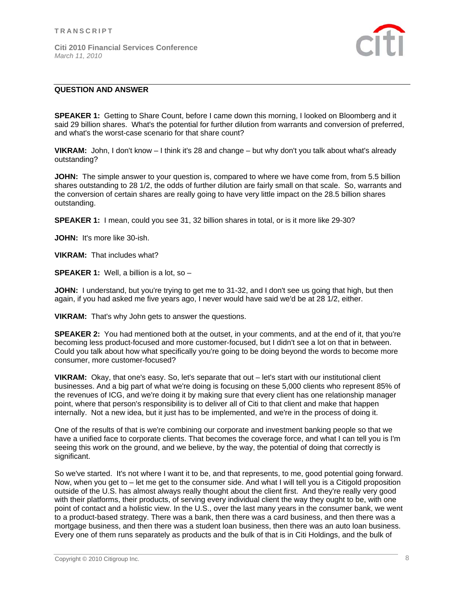

# **QUESTION AND ANSWER**

**SPEAKER 1:** Getting to Share Count, before I came down this morning, I looked on Bloomberg and it said 29 billion shares. What's the potential for further dilution from warrants and conversion of preferred, and what's the worst-case scenario for that share count?

**VIKRAM:** John, I don't know – I think it's 28 and change – but why don't you talk about what's already outstanding?

**JOHN:** The simple answer to your question is, compared to where we have come from, from 5.5 billion shares outstanding to 28 1/2, the odds of further dilution are fairly small on that scale. So, warrants and the conversion of certain shares are really going to have very little impact on the 28.5 billion shares outstanding.

**SPEAKER 1:** I mean, could you see 31, 32 billion shares in total, or is it more like 29-30?

**JOHN:** It's more like 30-ish.

**VIKRAM:** That includes what?

**SPEAKER 1:** Well, a billion is a lot, so –

**JOHN:** I understand, but you're trying to get me to 31-32, and I don't see us going that high, but then again, if you had asked me five years ago, I never would have said we'd be at 28 1/2, either.

**VIKRAM:** That's why John gets to answer the questions.

**SPEAKER 2:** You had mentioned both at the outset, in your comments, and at the end of it, that you're becoming less product-focused and more customer-focused, but I didn't see a lot on that in between. Could you talk about how what specifically you're going to be doing beyond the words to become more consumer, more customer-focused?

**VIKRAM:** Okay, that one's easy. So, let's separate that out – let's start with our institutional client businesses. And a big part of what we're doing is focusing on these 5,000 clients who represent 85% of the revenues of ICG, and we're doing it by making sure that every client has one relationship manager point, where that person's responsibility is to deliver all of Citi to that client and make that happen internally. Not a new idea, but it just has to be implemented, and we're in the process of doing it.

One of the results of that is we're combining our corporate and investment banking people so that we have a unified face to corporate clients. That becomes the coverage force, and what I can tell you is I'm seeing this work on the ground, and we believe, by the way, the potential of doing that correctly is significant.

So we've started. It's not where I want it to be, and that represents, to me, good potential going forward. Now, when you get to – let me get to the consumer side. And what I will tell you is a Citigold proposition outside of the U.S. has almost always really thought about the client first. And they're really very good with their platforms, their products, of serving every individual client the way they ought to be, with one point of contact and a holistic view. In the U.S., over the last many years in the consumer bank, we went to a product-based strategy. There was a bank, then there was a card business, and then there was a mortgage business, and then there was a student loan business, then there was an auto loan business. Every one of them runs separately as products and the bulk of that is in Citi Holdings, and the bulk of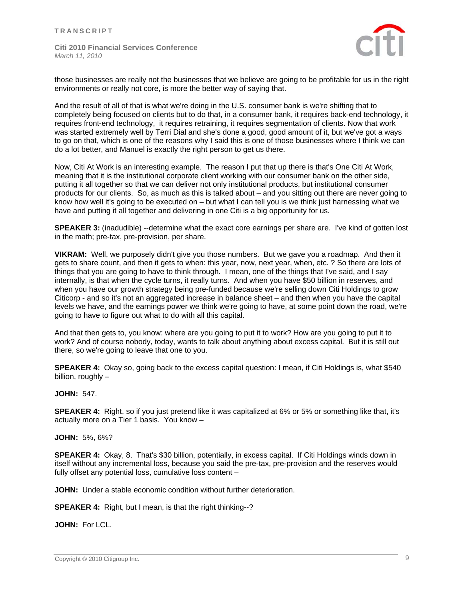

those businesses are really not the businesses that we believe are going to be profitable for us in the right environments or really not core, is more the better way of saying that.

And the result of all of that is what we're doing in the U.S. consumer bank is we're shifting that to completely being focused on clients but to do that, in a consumer bank, it requires back-end technology, it requires front-end technology, it requires retraining, it requires segmentation of clients. Now that work was started extremely well by Terri Dial and she's done a good, good amount of it, but we've got a ways to go on that, which is one of the reasons why I said this is one of those businesses where I think we can do a lot better, and Manuel is exactly the right person to get us there.

Now, Citi At Work is an interesting example. The reason I put that up there is that's One Citi At Work, meaning that it is the institutional corporate client working with our consumer bank on the other side, putting it all together so that we can deliver not only institutional products, but institutional consumer products for our clients. So, as much as this is talked about – and you sitting out there are never going to know how well it's going to be executed on – but what I can tell you is we think just harnessing what we have and putting it all together and delivering in one Citi is a big opportunity for us.

**SPEAKER 3:** (inadudible) --determine what the exact core earnings per share are. I've kind of gotten lost in the math; pre-tax, pre-provision, per share.

**VIKRAM:** Well, we purposely didn't give you those numbers. But we gave you a roadmap. And then it gets to share count, and then it gets to when: this year, now, next year, when, etc. ? So there are lots of things that you are going to have to think through. I mean, one of the things that I've said, and I say internally, is that when the cycle turns, it really turns. And when you have \$50 billion in reserves, and when you have our growth strategy being pre-funded because we're selling down Citi Holdings to grow Citicorp - and so it's not an aggregated increase in balance sheet – and then when you have the capital levels we have, and the earnings power we think we're going to have, at some point down the road, we're going to have to figure out what to do with all this capital.

And that then gets to, you know: where are you going to put it to work? How are you going to put it to work? And of course nobody, today, wants to talk about anything about excess capital. But it is still out there, so we're going to leave that one to you.

**SPEAKER 4:** Okay so, going back to the excess capital question: I mean, if Citi Holdings is, what \$540 billion, roughly –

### **JOHN:** 547.

**SPEAKER 4:** Right, so if you just pretend like it was capitalized at 6% or 5% or something like that, it's actually more on a Tier 1 basis. You know –

### **JOHN:** 5%, 6%?

**SPEAKER 4:** Okay, 8. That's \$30 billion, potentially, in excess capital. If Citi Holdings winds down in itself without any incremental loss, because you said the pre-tax, pre-provision and the reserves would fully offset any potential loss, cumulative loss content –

**JOHN:** Under a stable economic condition without further deterioration.

**SPEAKER 4:** Right, but I mean, is that the right thinking--?

**JOHN:** For LCL.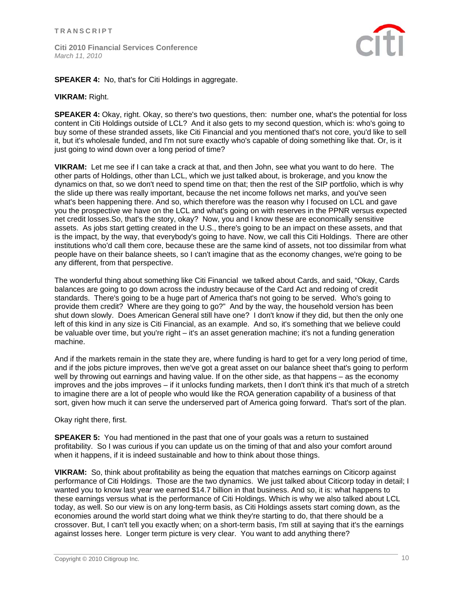

**SPEAKER 4:** No, that's for Citi Holdings in aggregate.

### **VIKRAM:** Right.

**SPEAKER 4:** Okay, right. Okay, so there's two questions, then: number one, what's the potential for loss content in Citi Holdings outside of LCL? And it also gets to my second question, which is: who's going to buy some of these stranded assets, like Citi Financial and you mentioned that's not core, you'd like to sell it, but it's wholesale funded, and I'm not sure exactly who's capable of doing something like that. Or, is it just going to wind down over a long period of time?

**VIKRAM:** Let me see if I can take a crack at that, and then John, see what you want to do here. The other parts of Holdings, other than LCL, which we just talked about, is brokerage, and you know the dynamics on that, so we don't need to spend time on that; then the rest of the SIP portfolio, which is why the slide up there was really important, because the net income follows net marks, and you've seen what's been happening there. And so, which therefore was the reason why I focused on LCL and gave you the prospective we have on the LCL and what's going on with reserves in the PPNR versus expected net credit losses.So, that's the story, okay? Now, you and I know these are economically sensitive assets. As jobs start getting created in the U.S., there's going to be an impact on these assets, and that is the impact, by the way, that everybody's going to have. Now, we call this Citi Holdings. There are other institutions who'd call them core, because these are the same kind of assets, not too dissimilar from what people have on their balance sheets, so I can't imagine that as the economy changes, we're going to be any different, from that perspective.

The wonderful thing about something like Citi Financial we talked about Cards, and said, "Okay, Cards balances are going to go down across the industry because of the Card Act and redoing of credit standards. There's going to be a huge part of America that's not going to be served. Who's going to provide them credit? Where are they going to go?" And by the way, the household version has been shut down slowly. Does American General still have one? I don't know if they did, but then the only one left of this kind in any size is Citi Financial, as an example. And so, it's something that we believe could be valuable over time, but you're right – it's an asset generation machine; it's not a funding generation machine.

And if the markets remain in the state they are, where funding is hard to get for a very long period of time, and if the jobs picture improves, then we've got a great asset on our balance sheet that's going to perform well by throwing out earnings and having value. If on the other side, as that happens – as the economy improves and the jobs improves – if it unlocks funding markets, then I don't think it's that much of a stretch to imagine there are a lot of people who would like the ROA generation capability of a business of that sort, given how much it can serve the underserved part of America going forward. That's sort of the plan.

Okay right there, first.

**SPEAKER 5:** You had mentioned in the past that one of your goals was a return to sustained profitability. So I was curious if you can update us on the timing of that and also your comfort around when it happens, if it is indeed sustainable and how to think about those things.

**VIKRAM:** So, think about profitability as being the equation that matches earnings on Citicorp against performance of Citi Holdings. Those are the two dynamics. We just talked about Citicorp today in detail; I wanted you to know last year we earned \$14.7 billion in that business. And so, it is: what happens to these earnings versus what is the performance of Citi Holdings. Which is why we also talked about LCL today, as well. So our view is on any long-term basis, as Citi Holdings assets start coming down, as the economies around the world start doing what we think they're starting to do, that there should be a crossover. But, I can't tell you exactly when; on a short-term basis, I'm still at saying that it's the earnings against losses here. Longer term picture is very clear. You want to add anything there?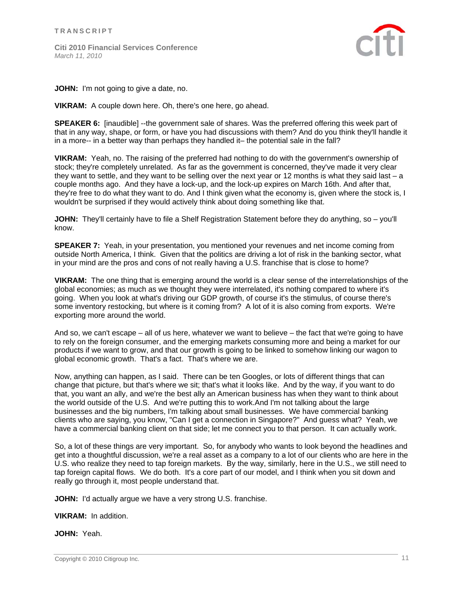

**JOHN:** I'm not going to give a date, no.

**VIKRAM:** A couple down here. Oh, there's one here, go ahead.

**SPEAKER 6:** [inaudible] --the government sale of shares. Was the preferred offering this week part of that in any way, shape, or form, or have you had discussions with them? And do you think they'll handle it in a more-- in a better way than perhaps they handled it– the potential sale in the fall?

**VIKRAM:** Yeah, no. The raising of the preferred had nothing to do with the government's ownership of stock; they're completely unrelated. As far as the government is concerned, they've made it very clear they want to settle, and they want to be selling over the next year or 12 months is what they said last – a couple months ago. And they have a lock-up, and the lock-up expires on March 16th. And after that, they're free to do what they want to do. And I think given what the economy is, given where the stock is, I wouldn't be surprised if they would actively think about doing something like that.

**JOHN:** They'll certainly have to file a Shelf Registration Statement before they do anything, so – you'll know.

**SPEAKER 7:** Yeah, in your presentation, you mentioned your revenues and net income coming from outside North America, I think. Given that the politics are driving a lot of risk in the banking sector, what in your mind are the pros and cons of not really having a U.S. franchise that is close to home?

**VIKRAM:** The one thing that is emerging around the world is a clear sense of the interrelationships of the global economies; as much as we thought they were interrelated, it's nothing compared to where it's going. When you look at what's driving our GDP growth, of course it's the stimulus, of course there's some inventory restocking, but where is it coming from? A lot of it is also coming from exports. We're exporting more around the world.

And so, we can't escape – all of us here, whatever we want to believe – the fact that we're going to have to rely on the foreign consumer, and the emerging markets consuming more and being a market for our products if we want to grow, and that our growth is going to be linked to somehow linking our wagon to global economic growth. That's a fact. That's where we are.

Now, anything can happen, as I said. There can be ten Googles, or lots of different things that can change that picture, but that's where we sit; that's what it looks like. And by the way, if you want to do that, you want an ally, and we're the best ally an American business has when they want to think about the world outside of the U.S. And we're putting this to work.And I'm not talking about the large businesses and the big numbers, I'm talking about small businesses. We have commercial banking clients who are saying, you know, "Can I get a connection in Singapore?" And guess what? Yeah, we have a commercial banking client on that side; let me connect you to that person. It can actually work.

So, a lot of these things are very important. So, for anybody who wants to look beyond the headlines and get into a thoughtful discussion, we're a real asset as a company to a lot of our clients who are here in the U.S. who realize they need to tap foreign markets. By the way, similarly, here in the U.S., we still need to tap foreign capital flows. We do both. It's a core part of our model, and I think when you sit down and really go through it, most people understand that.

**JOHN:** I'd actually argue we have a very strong U.S. franchise.

**VIKRAM:** In addition.

**JOHN:** Yeah.